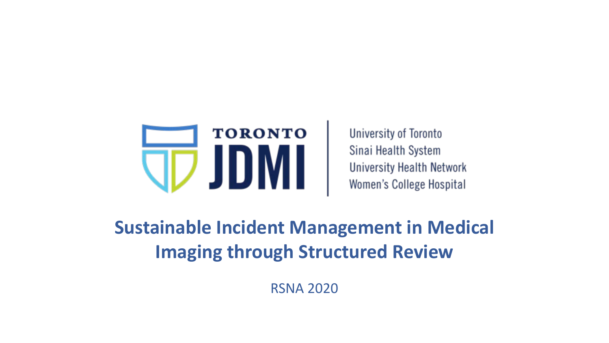

**University of Toronto** Sinai Health System **University Health Network** Women's College Hospital

**Sustainable Incident Management in Medical Imaging through Structured Review**

RSNA 2020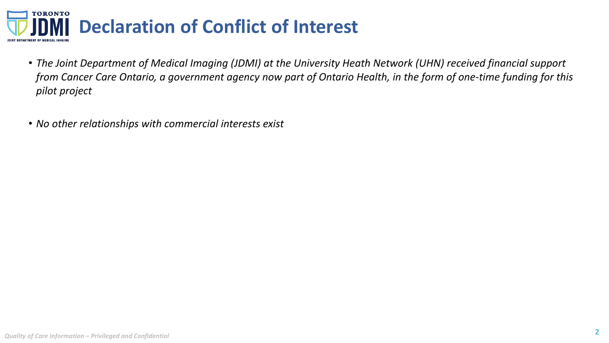

- *The Joint Department of Medical Imaging (JDMI) at the University Heath Network (UHN) received financial support from Cancer Care Ontario, a government agency now part of Ontario Health, in the form of one-time funding for this pilot project*
- *No other relationships with commercial interests exist*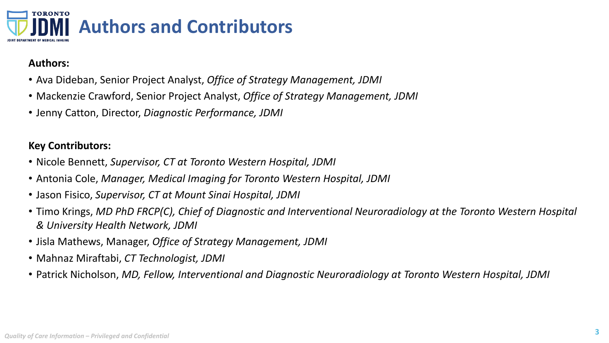

## **Authors:**

- Ava Dideban, Senior Project Analyst, *Office of Strategy Management, JDMI*
- Mackenzie Crawford, Senior Project Analyst, *Office of Strategy Management, JDMI*
- Jenny Catton, Director, *Diagnostic Performance, JDMI*

## **Key Contributors:**

- Nicole Bennett, *Supervisor, CT at Toronto Western Hospital, JDMI*
- Antonia Cole, *Manager, Medical Imaging for Toronto Western Hospital, JDMI*
- Jason Fisico, *Supervisor, CT at Mount Sinai Hospital, JDMI*
- Timo Krings, *MD PhD FRCP(C), Chief of Diagnostic and Interventional Neuroradiology at the Toronto Western Hospital & University Health Network, JDMI*
- Jisla Mathews, Manager, *Office of Strategy Management, JDMI*
- Mahnaz Miraftabi, *CT Technologist, JDMI*
- Patrick Nicholson, *MD, Fellow, Interventional and Diagnostic Neuroradiology at Toronto Western Hospital, JDMI*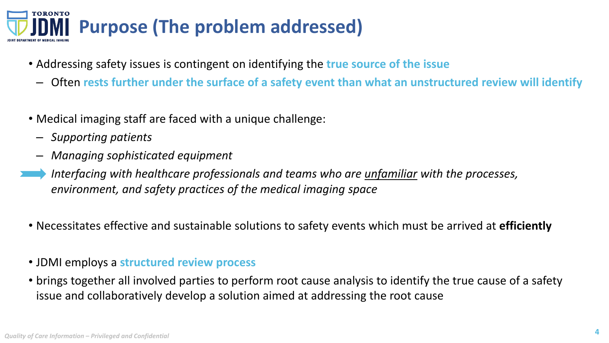

- Addressing safety issues is contingent on identifying the **true source of the issue**
	- Often **rests further under the surface of a safety event than what an unstructured review will identify**
- Medical imaging staff are faced with a unique challenge:
	- *Supporting patients*
	- *Managing sophisticated equipment*
- *Interfacing with healthcare professionals and teams who are unfamiliar with the processes, environment, and safety practices of the medical imaging space*
- Necessitates effective and sustainable solutions to safety events which must be arrived at **efficiently**
- JDMI employs a **structured review process**
- brings together all involved parties to perform root cause analysis to identify the true cause of a safety issue and collaboratively develop a solution aimed at addressing the root cause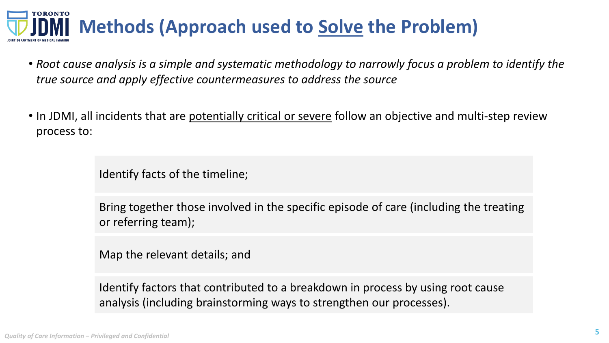## **TORONTO Methods (Approach used to Solve the Problem)**

- *Root cause analysis is a simple and systematic methodology to narrowly focus a problem to identify the true source and apply effective countermeasures to address the source*
- In JDMI, all incidents that are potentially critical or severe follow an objective and multi-step review process to:

Identify facts of the timeline;

Bring together those involved in the specific episode of care (including the treating or referring team);

Map the relevant details; and

Identify factors that contributed to a breakdown in process by using root cause analysis (including brainstorming ways to strengthen our processes).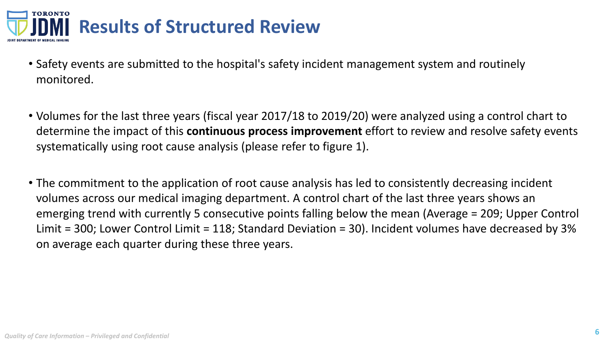

- Safety events are submitted to the hospital's safety incident management system and routinely monitored.
- Volumes for the last three years (fiscal year 2017/18 to 2019/20) were analyzed using a control chart to determine the impact of this **continuous process improvement** effort to review and resolve safety events systematically using root cause analysis (please refer to figure 1).
- The commitment to the application of root cause analysis has led to consistently decreasing incident volumes across our medical imaging department. A control chart of the last three years shows an emerging trend with currently 5 consecutive points falling below the mean (Average = 209; Upper Control Limit = 300; Lower Control Limit = 118; Standard Deviation = 30). Incident volumes have decreased by 3% on average each quarter during these three years.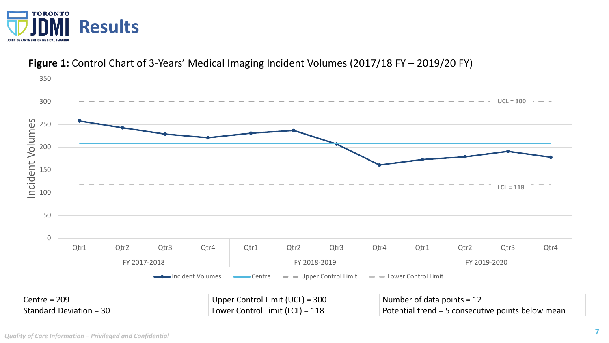



## **Figure 1:** Control Chart of 3-Years' Medical Imaging Incident Volumes (2017/18 FY – 2019/20 FY)

| $\vert$ Centre = 209    | Upper Control Limit (UCL) = $300$ | Number of data points = 12                        |
|-------------------------|-----------------------------------|---------------------------------------------------|
| Standard Deviation = 30 | Lower Control Limit (LCL) = 118   | Potential trend = 5 consecutive points below mean |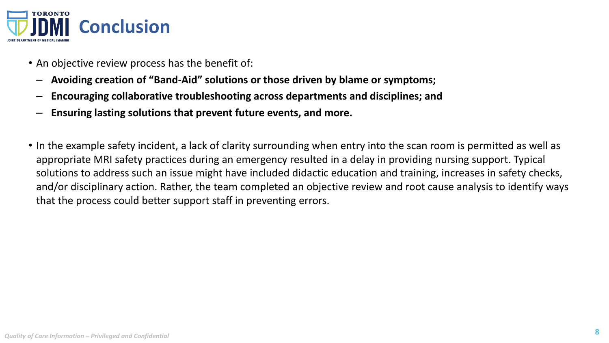

- An objective review process has the benefit of:
	- **Avoiding creation of "Band-Aid" solutions or those driven by blame or symptoms;**
	- **Encouraging collaborative troubleshooting across departments and disciplines; and**
	- **Ensuring lasting solutions that prevent future events, and more.**
- In the example safety incident, a lack of clarity surrounding when entry into the scan room is permitted as well as appropriate MRI safety practices during an emergency resulted in a delay in providing nursing support. Typical solutions to address such an issue might have included didactic education and training, increases in safety checks, and/or disciplinary action. Rather, the team completed an objective review and root cause analysis to identify ways that the process could better support staff in preventing errors.